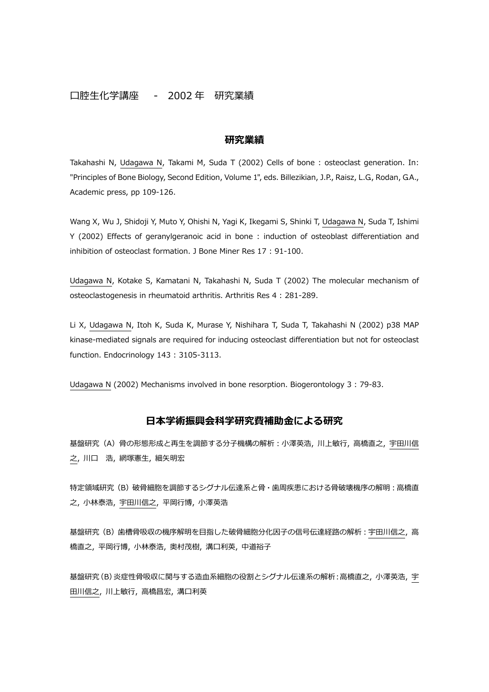## 口腔生化学講座 - 2002 年 研究業績

## **研究業績**

Takahashi N, Udagawa N, Takami M, Suda T (2002) Cells of bone : osteoclast generation. In: "Principles of Bone Biology, Second Edition, Volume 1", eds. Billezikian, J.P., Raisz, L.G., Rodan, G.A., Academic press, pp 109-126.

Wang X, Wu J, Shidoji Y, Muto Y, Ohishi N, Yagi K, Ikegami S, Shinki T, Udagawa N, Suda T, Ishimi Y (2002) Effects of geranylgeranoic acid in bone : induction of osteoblast differentiation and inhibition of osteoclast formation. J Bone Miner Res 17 : 91-100.

Udagawa N, Kotake S, Kamatani N, Takahashi N, Suda T (2002) The molecular mechanism of osteoclastogenesis in rheumatoid arthritis. Arthritis Res 4 : 281-289.

Li X, Udagawa N, Itoh K, Suda K, Murase Y, Nishihara T, Suda T, Takahashi N (2002) p38 MAP kinase-mediated signals are required for inducing osteoclast differentiation but not for osteoclast function. Endocrinology 143 : 3105-3113.

Udagawa N (2002) Mechanisms involved in bone resorption. Biogerontology 3 : 79-83.

## **日本学術振興会科学研究費補助⾦による研究**

基盤研究(A)骨の形態形成と再生を調節する分子機構の解析:小澤英浩, 川上敏⾏, 高橋直之, 宇田川信 之, 川口 浩, 網塚憲生, 細矢明宏

特定領域研究(B)破骨細胞を調節するシグナル伝達系と骨·歯周疾患における骨破壊機序の解明:高橋直 之, 小林泰浩, 宇田川信之, 平岡⾏博, 小澤英浩

基盤研究 (B) 歯槽骨吸収の機序解明を目指した破骨細胞分化因子の信号伝達経路の解析: 宇田川信之, 高 橋直之, 平岡行博, 小林泰浩, 奥村茂樹, 溝口利英, 中道裕子

基盤研究(B)炎症性骨吸収に関与する造血系細胞の役割とシグナル伝達系の解析:高橋直之, 小澤英浩, 宇 田川信之, 川上敏⾏, 高橋昌宏, 溝口利英